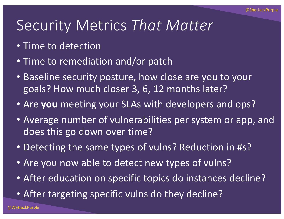## Security Metrics *That Matter*

- Time to detection
- Time to remediation and/or patch
- Baseline security posture, how close are you to your goals? How much closer 3, 6, 12 months later?
- Are **you** meeting your SLAs with developers and ops?
- Average number of vulnerabilities per system or app, and does this go down over time?
- Detecting the same types of vulns? Reduction in #s?
- Are you now able to detect new types of vulns?
- After education on specific topics do instances decline?
- After targeting specific vulns do they decline?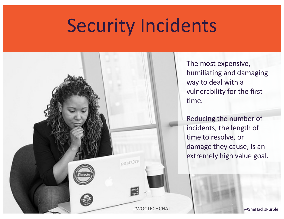## Security Incidents



The most expensive, humiliating and damaging way to deal with a vulnerability for the first time.

Reducing the number of incidents, the length of time to resolve, or damage they cause, is an extremely high value goal.